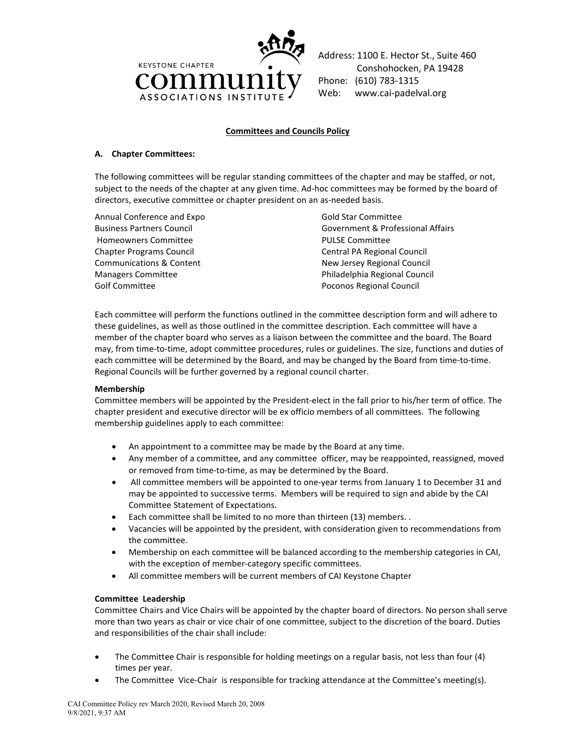

Address: 1100 E. Hector St., Suite 460 Conshohocken, PA 19428 Phone: (610) 783-1315 Web: www.cai-padelval.org

# **Committees and Councils Policy**

### **A. Chapter Committees:**

The following committees will be regular standing committees of the chapter and may be staffed, or not, subject to the needs of the chapter at any given time. Ad-hoc committees may be formed by the board of directors, executive committee or chapter president on an as-needed basis.

Annual Conference and Expo Business Partners Council Homeowners Committee Chapter Programs Council Communications & Content Managers Committee Golf Committee

Gold Star Committee Government & Professional Affairs PULSE Committee Central PA Regional Council New Jersey Regional Council Philadelphia Regional Council Poconos Regional Council

Each committee will perform the functions outlined in the committee description form and will adhere to these guidelines, as well as those outlined in the committee description. Each committee will have a member of the chapter board who serves as a liaison between the committee and the board. The Board may, from time-to-time, adopt committee procedures, rules or guidelines. The size, functions and duties of each committee will be determined by the Board, and may be changed by the Board from time-to-time. Regional Councils will be further governed by a regional council charter.

## **Membership**

Committee members will be appointed by the President-elect in the fall prior to his/her term of office. The chapter president and executive director will be ex officio members of all committees. The following membership guidelines apply to each committee:

- An appointment to a committee may be made by the Board at any time.
- Any member of a committee, and any committee officer, may be reappointed, reassigned, moved or removed from time-to-time, as may be determined by the Board.
- All committee members will be appointed to one-year terms from January 1 to December 31 and may be appointed to successive terms. Members will be required to sign and abide by the CAI Committee Statement of Expectations.
- Each committee shall be limited to no more than thirteen (13) members. .
- Vacancies will be appointed by the president, with consideration given to recommendations from the committee.
- Membership on each committee will be balanced according to the membership categories in CAI, with the exception of member-category specific committees.
- All committee members will be current members of CAI Keystone Chapter

## **Committee Leadership**

Committee Chairs and Vice Chairs will be appointed by the chapter board of directors. No person shall serve more than two years as chair or vice chair of one committee, subject to the discretion of the board. Duties and responsibilities of the chair shall include:

- The Committee Chair is responsible for holding meetings on a regular basis, not less than four (4) times per year.
- The Committee Vice-Chair is responsible for tracking attendance at the Committee's meeting(s).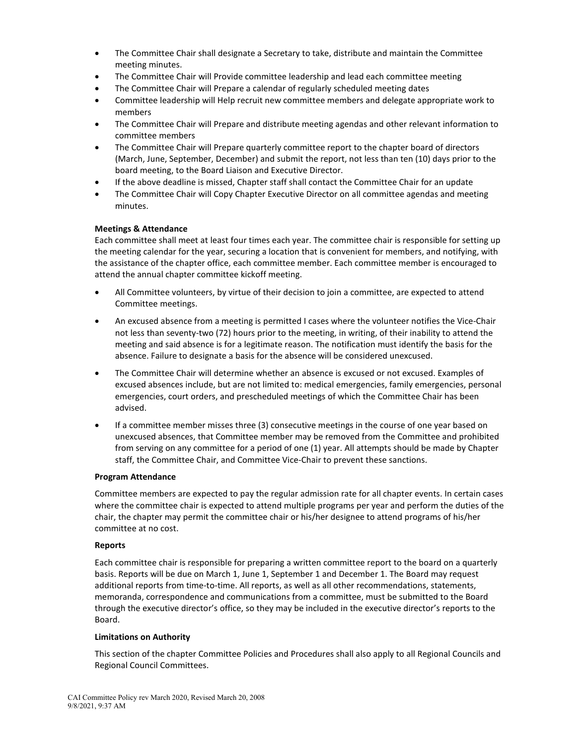- The Committee Chair shall designate a Secretary to take, distribute and maintain the Committee meeting minutes.
- The Committee Chair will Provide committee leadership and lead each committee meeting
- The Committee Chair will Prepare a calendar of regularly scheduled meeting dates
- Committee leadership will Help recruit new committee members and delegate appropriate work to members
- The Committee Chair will Prepare and distribute meeting agendas and other relevant information to committee members
- The Committee Chair will Prepare quarterly committee report to the chapter board of directors (March, June, September, December) and submit the report, not less than ten (10) days prior to the board meeting, to the Board Liaison and Executive Director.
- If the above deadline is missed, Chapter staff shall contact the Committee Chair for an update
- The Committee Chair will Copy Chapter Executive Director on all committee agendas and meeting minutes.

## **Meetings & Attendance**

Each committee shall meet at least four times each year. The committee chair is responsible for setting up the meeting calendar for the year, securing a location that is convenient for members, and notifying, with the assistance of the chapter office, each committee member. Each committee member is encouraged to attend the annual chapter committee kickoff meeting.

- All Committee volunteers, by virtue of their decision to join a committee, are expected to attend Committee meetings.
- An excused absence from a meeting is permitted I cases where the volunteer notifies the Vice-Chair not less than seventy-two (72) hours prior to the meeting, in writing, of their inability to attend the meeting and said absence is for a legitimate reason. The notification must identify the basis for the absence. Failure to designate a basis for the absence will be considered unexcused.
- The Committee Chair will determine whether an absence is excused or not excused. Examples of excused absences include, but are not limited to: medical emergencies, family emergencies, personal emergencies, court orders, and prescheduled meetings of which the Committee Chair has been advised.
- If a committee member misses three (3) consecutive meetings in the course of one year based on unexcused absences, that Committee member may be removed from the Committee and prohibited from serving on any committee for a period of one (1) year. All attempts should be made by Chapter staff, the Committee Chair, and Committee Vice-Chair to prevent these sanctions.

#### **Program Attendance**

Committee members are expected to pay the regular admission rate for all chapter events. In certain cases where the committee chair is expected to attend multiple programs per year and perform the duties of the chair, the chapter may permit the committee chair or his/her designee to attend programs of his/her committee at no cost.

#### **Reports**

Each committee chair is responsible for preparing a written committee report to the board on a quarterly basis. Reports will be due on March 1, June 1, September 1 and December 1. The Board may request additional reports from time-to-time. All reports, as well as all other recommendations, statements, memoranda, correspondence and communications from a committee, must be submitted to the Board through the executive director's office, so they may be included in the executive director's reports to the Board.

#### **Limitations on Authority**

This section of the chapter Committee Policies and Procedures shall also apply to all Regional Councils and Regional Council Committees.